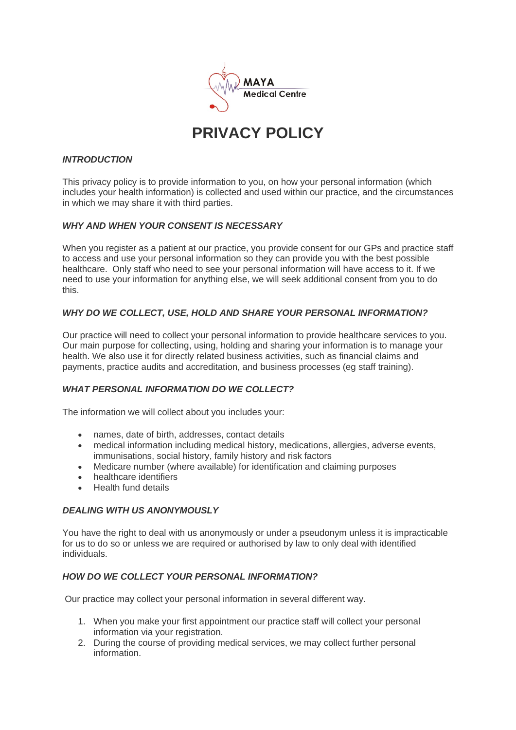

**PRIVACY POLICY**

### *INTRODUCTION*

This privacy policy is to provide information to you, on how your personal information (which includes your health information) is collected and used within our practice, and the circumstances in which we may share it with third parties.

# *WHY AND WHEN YOUR CONSENT IS NECESSARY*

When you register as a patient at our practice, you provide consent for our GPs and practice staff to access and use your personal information so they can provide you with the best possible healthcare. Only staff who need to see your personal information will have access to it. If we need to use your information for anything else, we will seek additional consent from you to do this.

## *WHY DO WE COLLECT, USE, HOLD AND SHARE YOUR PERSONAL INFORMATION?*

Our practice will need to collect your personal information to provide healthcare services to you. Our main purpose for collecting, using, holding and sharing your information is to manage your health. We also use it for directly related business activities, such as financial claims and payments, practice audits and accreditation, and business processes (eg staff training).

# *WHAT PERSONAL INFORMATION DO WE COLLECT?*

The information we will collect about you includes your:

- names, date of birth, addresses, contact details
- medical information including medical history, medications, allergies, adverse events, immunisations, social history, family history and risk factors
- Medicare number (where available) for identification and claiming purposes
- healthcare identifiers
- Health fund details

#### *DEALING WITH US ANONYMOUSLY*

You have the right to deal with us anonymously or under a pseudonym unless it is impracticable for us to do so or unless we are required or authorised by law to only deal with identified individuals.

## *HOW DO WE COLLECT YOUR PERSONAL INFORMATION?*

Our practice may collect your personal information in several different way.

- 1. When you make your first appointment our practice staff will collect your personal information via your registration.
- 2. During the course of providing medical services, we may collect further personal information.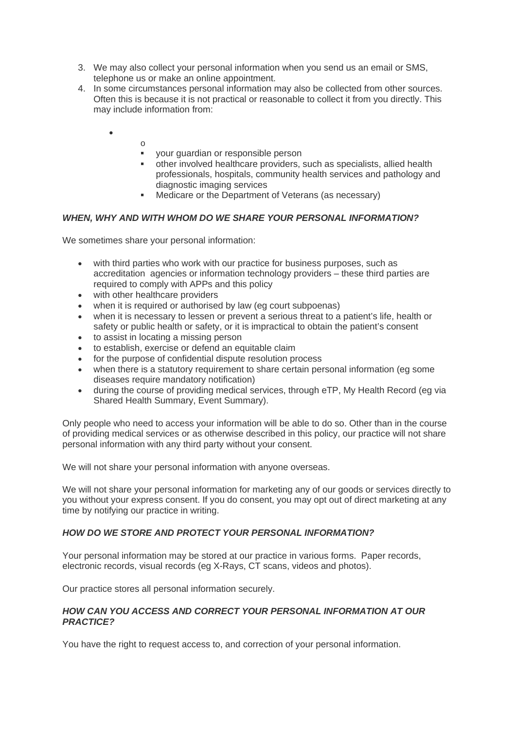- 3. We may also collect your personal information when you send us an email or SMS, telephone us or make an online appointment.
- 4. In some circumstances personal information may also be collected from other sources. Often this is because it is not practical or reasonable to collect it from you directly. This may include information from:
	- •

o

- your guardian or responsible person
- other involved healthcare providers, such as specialists, allied health professionals, hospitals, community health services and pathology and diagnostic imaging services
- Medicare or the Department of Veterans (as necessary)

## *WHEN, WHY AND WITH WHOM DO WE SHARE YOUR PERSONAL INFORMATION?*

We sometimes share your personal information:

- with third parties who work with our practice for business purposes, such as accreditation agencies or information technology providers – these third parties are required to comply with APPs and this policy
- with other healthcare providers
- when it is required or authorised by law (eq court subpoenas)
- when it is necessary to lessen or prevent a serious threat to a patient's life, health or safety or public health or safety, or it is impractical to obtain the patient's consent
- to assist in locating a missing person
- to establish, exercise or defend an equitable claim
- for the purpose of confidential dispute resolution process
- when there is a statutory requirement to share certain personal information (eg some diseases require mandatory notification)
- during the course of providing medical services, through eTP, My Health Record (eg via Shared Health Summary, Event Summary).

Only people who need to access your information will be able to do so. Other than in the course of providing medical services or as otherwise described in this policy, our practice will not share personal information with any third party without your consent.

We will not share your personal information with anyone overseas.

We will not share your personal information for marketing any of our goods or services directly to you without your express consent. If you do consent, you may opt out of direct marketing at any time by notifying our practice in writing.

#### *HOW DO WE STORE AND PROTECT YOUR PERSONAL INFORMATION?*

Your personal information may be stored at our practice in various forms. Paper records, electronic records, visual records (eg X-Rays, CT scans, videos and photos).

Our practice stores all personal information securely.

#### *HOW CAN YOU ACCESS AND CORRECT YOUR PERSONAL INFORMATION AT OUR PRACTICE?*

You have the right to request access to, and correction of your personal information.